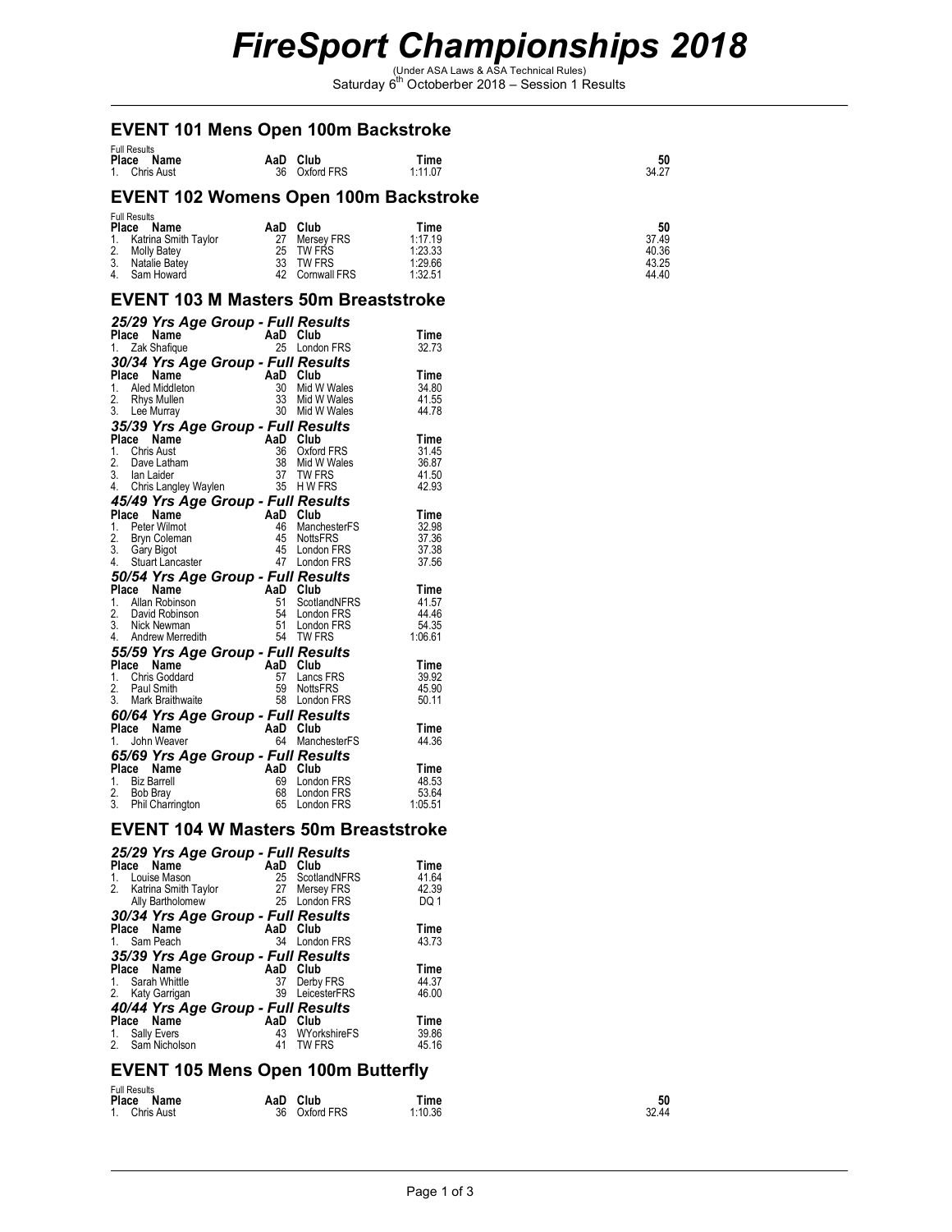# *FireSport Championships 2018*<br>
Saturday 6<sup>th</sup> Octoberber 2018 – Session 1 Results

### **EVENT 101 Mens Open 100m Backstroke**

| <b>Full Results</b><br>Place Name<br>1. Chris Aust | AaD Club | 36 Oxford FRS | Time<br>1:11.07 | 50<br>34.27 |
|----------------------------------------------------|----------|---------------|-----------------|-------------|
| <b>EVENT 102 Womens Open 100m Backstroke</b>       |          |               |                 |             |

|    | Full Results<br>Place<br>Name | AaD | Club                | Time    | 50    |
|----|-------------------------------|-----|---------------------|---------|-------|
|    | 1. Katrina Smith Taylor       | 27  | Mersev FRS          | 1:17.19 | 37.49 |
| 2. | <b>Molly Batey</b>            | 25  | TW FRS              | 1:23.33 | 40.36 |
|    | 3. Natalie Batev              | 33  | TW FRS              | 1:29.66 | 43.25 |
|    | 4. Sam Howard                 | 42  | <b>Cornwall FRS</b> | 1:32.51 | 44.40 |

# **EVENT 103 M Masters 50m Breaststroke**

|             |             |                                  | 25/29 Yrs Age Group - Full Results |          |                           |                |
|-------------|-------------|----------------------------------|------------------------------------|----------|---------------------------|----------------|
|             |             | Place Name<br>1. Zak Shafique    |                                    |          | AaD Club<br>25 London FRS | Time<br>32.73  |
|             |             |                                  | 30/34 Yrs Age Group - Full Results |          |                           |                |
| Place       |             | Name                             |                                    |          | AaD Club                  | Time           |
|             |             | 1. Aled Middleton                |                                    | 30       | Mid W Wales               | 34.80          |
|             |             | 2. Rhys Mullen                   |                                    | 33       | Mid W Wales               | 41.55          |
| 3.          |             | Lee Murray                       |                                    | 30       | Mid W Wales               | 44.78          |
|             |             |                                  | 35/39 Yrs Age Group - Full Results |          |                           |                |
| Place       |             | Name                             |                                    |          | AaD Club                  | Time           |
| 1.<br>2.    |             | Chris Aust                       |                                    | 36<br>38 | Oxford FRS<br>Mid W Wales | 31.45          |
|             |             | Dave Latham<br>3. Ian Laider     |                                    | 37       | <b>TW FRS</b>             | 36.87<br>41.50 |
|             |             | 4. Chris Langley Waylen          |                                    |          | 35 H W FRS                | 42.93          |
|             |             |                                  | 45/49 Yrs Age Group - Full Results |          |                           |                |
| Place       |             | Name                             |                                    |          | AaD Club                  | Time           |
| 1.          |             | Peter Wilmot                     | $A \in \mathbb{R}$                 | 46       | ManchesterFS              | 32.98          |
|             |             | 2. Bryn Coleman<br>3. Gary Bigot |                                    | 45       | <b>NottsFRS</b>           | 37.36          |
|             |             | 4. Stuart Lancaster              |                                    | 45       | London FRS                | 37.38          |
|             |             |                                  |                                    | 47       | London FRS                | 37.56          |
|             |             |                                  | 50/54 Yrs Age Group - Full Results |          |                           |                |
|             | Place       | Name<br>1. Allan Robinson        |                                    | 51       | AaD Club<br>ScotlandNFRS  | Time<br>41.57  |
|             |             | 2. David Robinson                |                                    | 54       | London FRS                | 44.46          |
|             |             | 3. Nick Newman                   |                                    | 51       | London FRS                | 54.35          |
|             |             | 4. Andrew Merredith              |                                    |          | 54 TW FRS                 | 1:06.61        |
|             |             |                                  | 55/59 Yrs Age Group - Full Results |          |                           |                |
|             | Place       | Name                             |                                    |          | AaD Club                  | Time           |
|             |             | 1. Chris Goddard                 |                                    | 57       | Lancs FRS                 | 39.92          |
|             |             | 2. Paul Smith                    |                                    | 59       | <b>NottsFRS</b>           | 45.90          |
|             |             | 3. Mark Braithwaite              |                                    | 58       | London FRS                | 50.11          |
|             |             |                                  | 60/64 Yrs Age Group - Full Results |          |                           |                |
| Place<br>1. |             | Name<br>John Weaver              |                                    | 64       | AaD Club<br>ManchesterFS  | Time<br>44.36  |
|             |             |                                  |                                    |          |                           |                |
| Place       |             | Name                             | 65/69 Yrs Age Group - Full Results | AaD      | Club                      | Time           |
| 1.          |             | <b>Biz Barrell</b>               |                                    | 69       | London FRS                | 48.53          |
|             | 2. Bob Bray |                                  |                                    | 68       | London FRS                | 53.64          |
| 3.          |             | <b>Phil Charrington</b>          |                                    | 65       | London FRS                | 1:05.51        |

### **EVENT 104 W Masters 50m Breaststroke**

|             | 25/29 Yrs Age Group - Full Results               |          |                 |       |
|-------------|--------------------------------------------------|----------|-----------------|-------|
|             | Place Name                                       | AaD Club |                 | Time  |
| 1.          | Louise Mason                                     | 25       | ScotlandNFRS    | 41.64 |
|             | 2. Katrina Smith Taylor                          |          | 27 Mersey FRS   | 42.39 |
|             | Ally Bartholomew                                 |          | 25 London FRS   | DQ 1  |
|             | 30/34 Yrs Age Group - Full Results               |          |                 |       |
|             | Place Name                                       | AaD Club |                 | Time  |
|             | 1. Sam Peach                                     | 34       | London FRS      | 43.73 |
|             | 35/39 Yrs Age Group - Full Results               |          |                 |       |
|             | Place Name                                       | AaD Club |                 | Time  |
| $1_{\cdot}$ | Sarah Whittle                                    | 37       | Derby FRS       | 44.37 |
| 2.          | Katy Garrigan                                    | 39       | LeicesterFRS    | 46.00 |
|             |                                                  |          |                 |       |
|             |                                                  |          |                 |       |
|             | 40/44 Yrs Age Group - Full Results<br>Place Name | AaD      | Club            | Time  |
| 1.          | Sally Evers                                      |          | 43 WYorkshireFS | 39.86 |

# **EVENT 105 Mens Open 100m Butterfly**

| <b>Full Results</b> |               |         |       |  |  |
|---------------------|---------------|---------|-------|--|--|
| Place<br>Name       | Club<br>AaD   | Time    | 50    |  |  |
| 1. Chris Aust       | 36 Oxford FRS | 1:10.36 | 32.44 |  |  |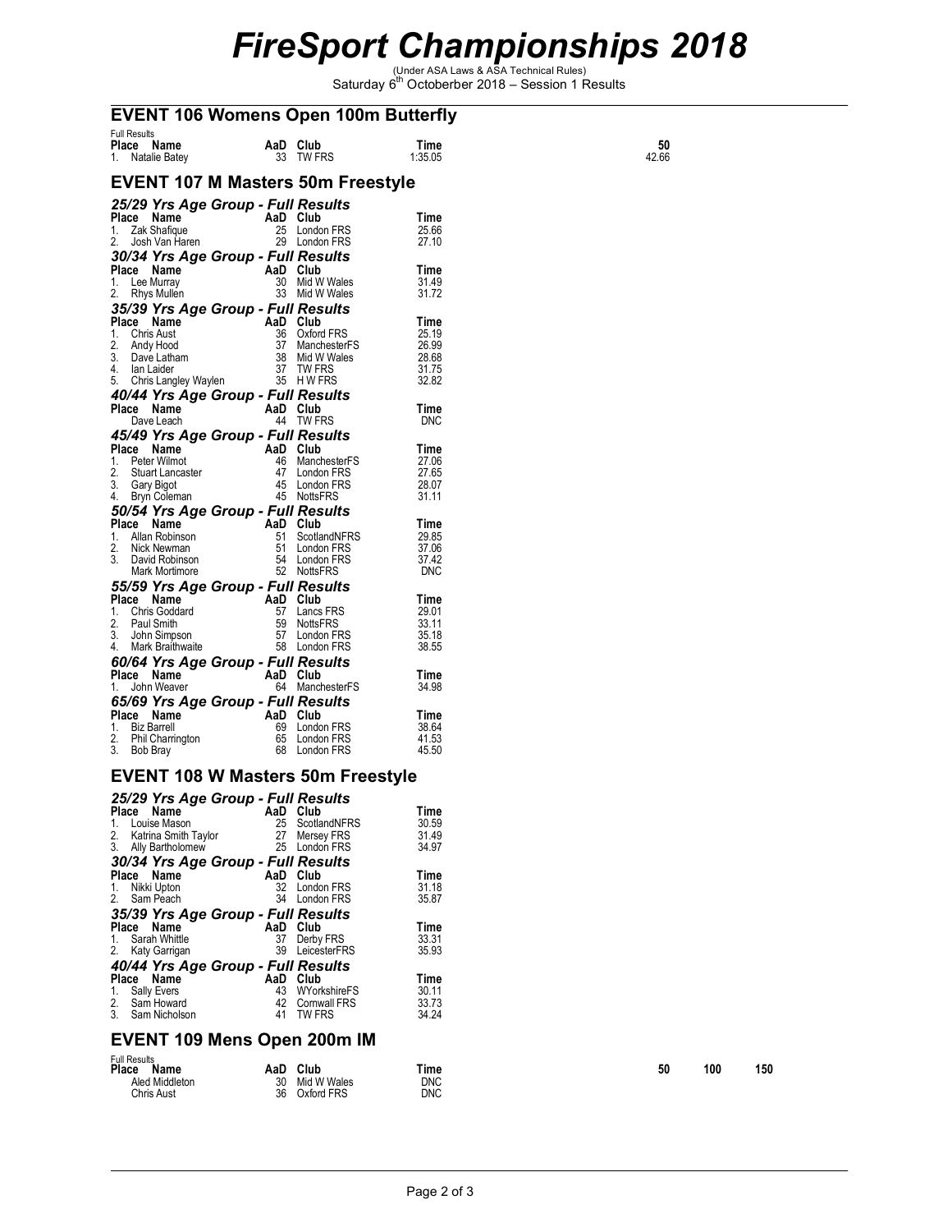# *FireSport Championships 2018*<br>
Saturday 6<sup>th</sup> Octoberber 2018 – Session 1 Results

# **EVENT 106 Womens Open 100m Butterfly**

| <b>Full Results</b><br>Place Name<br>Natalie Batey<br>1.                                                                                                                                             |    | AaD Club<br>33 TW FRS                                                                   | Time<br>1:35.05                                   | 50<br>42.66 |
|------------------------------------------------------------------------------------------------------------------------------------------------------------------------------------------------------|----|-----------------------------------------------------------------------------------------|---------------------------------------------------|-------------|
| <b>EVENT 107 M Masters 50m Freestyle</b>                                                                                                                                                             |    |                                                                                         |                                                   |             |
| 25/29 Yrs Age Group - Full Results<br>Place Name<br>Zak Shafique<br>1.                                                                                                                               |    | AaD Club<br>25 London FRS                                                               | Time<br>25.66                                     |             |
| 2.<br>Josh Van Haren<br>30/34 Yrs Age Group - Full Results                                                                                                                                           |    | 29 London FRS                                                                           | 27.10                                             |             |
| Place Name<br>1.<br>Lee Murray<br>2.<br>Rhys Mullen                                                                                                                                                  |    | AaD Club<br>30 Mid W Wales<br>33 Mid W Wales                                            | Time<br>31.49<br>31.72                            |             |
| 35/39 Yrs Age Group - Full Results<br>Place Name<br>Chris Aust<br>1.<br>2.<br>Andy Hood<br>3.<br>Dave Latham<br>4.<br>lan Laider<br>Chris Langley Waylen<br>5.<br>40/44 Yrs Age Group - Full Results |    | AaD Club<br>36 Oxford FRS<br>37 ManchesterFS<br>38 Mid W Wales<br>37 TW FRS<br>35 HWFRS | Time<br>25.19<br>26.99<br>28.68<br>31.75<br>32.82 |             |
| Place Name<br>Dave Leach                                                                                                                                                                             |    | AaD Club<br>44 TW FRS                                                                   | Time<br><b>DNC</b>                                |             |
| 45/49 Yrs Age Group - Full Results<br>Place Name<br>AaD Club<br>Peter Wilmot<br>1.<br>2.<br>Stuart Lancaster<br>3.<br>Gary Bigot<br>4.<br>Bryn Coleman                                               |    | 46 ManchesterFS<br>47 London FRS<br>45 London FRS<br>45 NottsFRS                        | Time<br>27.06<br>27.65<br>28.07<br>31.11          |             |
| 50/54 Yrs Age Group - Full Results<br>Place Name                                                                                                                                                     |    | AaD Club                                                                                | Time                                              |             |
| Allan Robinson<br>1.<br>2.<br>Nick Newman<br>3.<br>David Robinson<br>Mark Mortimore                                                                                                                  | 51 | ScotlandNFRS<br>51 London FRS<br>54 London FRS<br>52 NottsFRS                           | 29.85<br>37.06<br>37.42<br><b>DNC</b>             |             |
| 55/59 Yrs Age Group - Full Results<br>Place Name                                                                                                                                                     |    | AaD Club                                                                                | Time                                              |             |
| Chris Goddard<br>1.<br>2.<br>Paul Smith<br>3.<br>John Simpson<br>4.<br>Mark Braithwaite                                                                                                              |    | 57 Lancs FRS<br>59 NottsFRS<br>57 London FRS<br>58 London FRS                           | 29.01<br>33.11<br>35.18<br>38.55                  |             |
| 60/64 Yrs Age Group - Full Results<br>Place Name                                                                                                                                                     |    | AaD Club                                                                                | Time                                              |             |
| John Weaver<br>1.                                                                                                                                                                                    |    | 64 ManchesterFS                                                                         | 34.98                                             |             |
| 65/69 Yrs Age Group - Full Results<br>Place Name<br><b>Biz Barrell</b><br>1.<br>2.<br>Phil Charrington<br>3.<br>Bob Bray                                                                             |    | AaD Club<br>69 London FRS<br>65 London FRS<br>68 London FRS                             | Time<br>38.64<br>41.53<br>45.50                   |             |

# **EVENT 108 W Masters 50m Freestyle**

|       | 25/29 Yrs Age Group - Full Results |     |                     |       |
|-------|------------------------------------|-----|---------------------|-------|
| Place | Name                               | AaD | Club                | Time  |
| 1.    | Louise Mason                       | 25  | ScotlandNFRS        | 30.59 |
| 2.    | Katrina Smith Taylor               | 27  | Mersey FRS          | 31.49 |
| 3.    | Ally Bartholomew                   | 25  | London FRS          | 34.97 |
|       | 30/34 Yrs Age Group - Full Results |     |                     |       |
| Place | Name                               | AaD | Club                | Time  |
| 1.    | Nikki Upton                        | 32  | London FRS          | 31.18 |
| 2.    | Sam Peach                          | 34  | London FRS          | 35.87 |
|       | 35/39 Yrs Age Group - Full Results |     |                     |       |
| Place | Name                               | AaD | Club                | Time  |
| 1.    | Sarah Whittle                      | 37  | Derby FRS           | 33.31 |
|       | 2. Katy Garrigan                   | 39  | LeicesterFRS        | 35.93 |
|       | 40/44 Yrs Age Group - Full Results |     |                     |       |
| Place | Name                               | AaD | Club                | Time  |
| 1.    | Sally Evers                        | 43  | WYorkshireFS        | 30.11 |
| 2.    | Sam Howard                         | 42  | <b>Cornwall FRS</b> | 33.73 |
|       | 3. Sam Nicholson                   | 41  | <b>TW FRS</b>       | 34.24 |

#### **EVENT 109 Mens Open 200m IM**

| <b>Full Results</b> |     |             |            |    |     |     |
|---------------------|-----|-------------|------------|----|-----|-----|
| Place<br>Name       | AaD | Club        | Time       | 50 | 100 | 150 |
| Aled Middleton      | ۹Λ  | Mid W Wales | <b>DNC</b> |    |     |     |
| Chris Aust          | 36  | Oxford FRS  | <b>DNC</b> |    |     |     |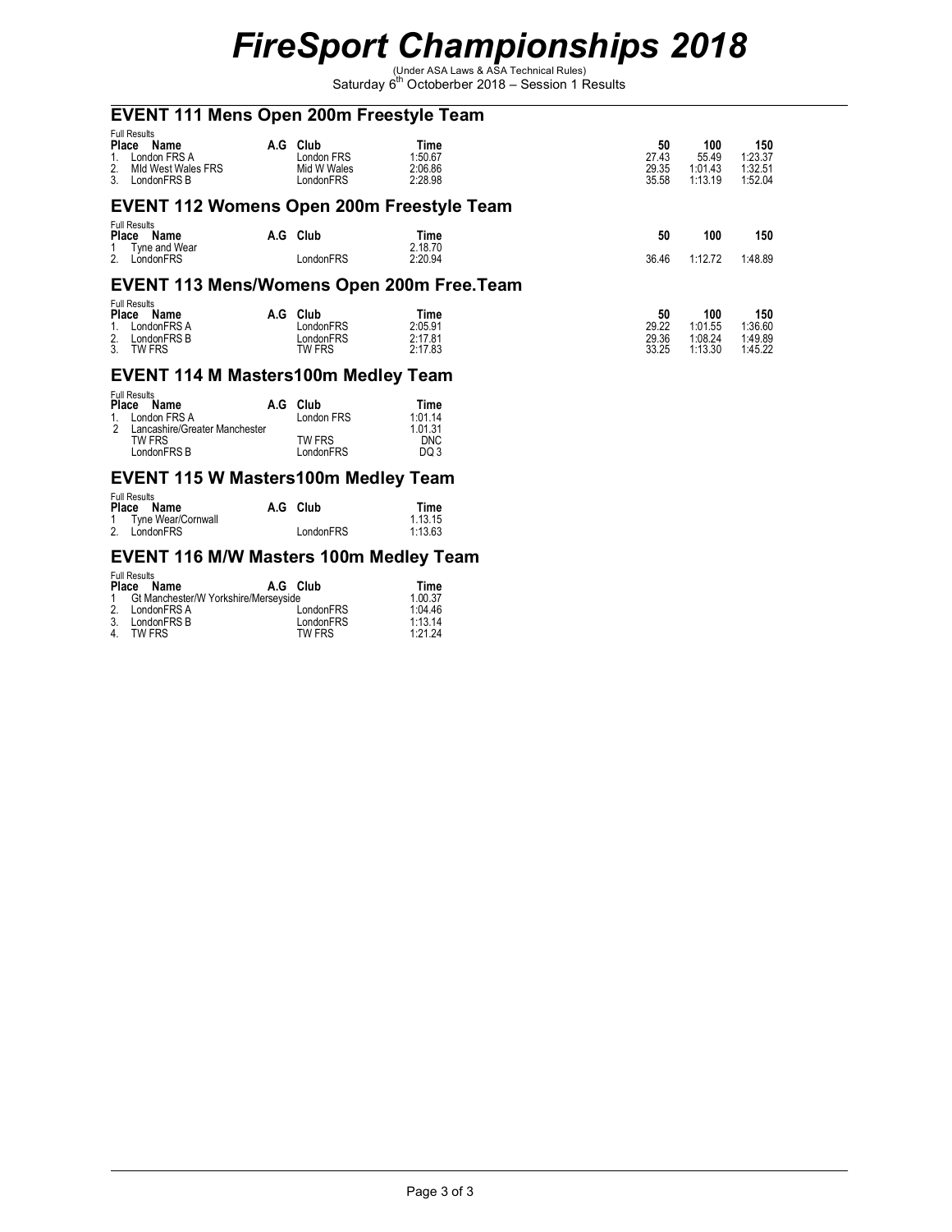# *FireSport Championships 2018*<br>
Saturday 6<sup>th</sup> Octoberber 2018 – Session 1 Results

# **EVENT 111 Mens Open 200m Freestyle Team**

| <b>Full Results</b><br>Place<br>Name<br>London FRS A<br>$1_{\cdot}$<br>Mid West Wales FRS<br>2.<br>LondonFRS B<br>3. | A.G | Club<br>London FRS<br>Mid W Wales<br>LondonFRS | Time<br>1:50.67<br>2:06.86<br>2:28.98 | 50<br>27.43<br>29.35<br>35.58 | 100<br>55.49<br>1:01.43<br>1:13.19   | 150<br>1:23.37<br>1:32.51<br>1:52.04 |
|----------------------------------------------------------------------------------------------------------------------|-----|------------------------------------------------|---------------------------------------|-------------------------------|--------------------------------------|--------------------------------------|
| <b>EVENT 112 Womens Open 200m Freestyle Team</b>                                                                     |     |                                                |                                       |                               |                                      |                                      |
| <b>Full Results</b><br>Place<br>Name                                                                                 | A.G | Club                                           | Time                                  | 50                            | 100                                  | 150                                  |
| Tyne and Wear<br>LondonFRS<br>2                                                                                      |     | LondonFRS                                      | 2.18.70<br>2:20.94                    | 36.46                         | 1:12.72                              | 1:48.89                              |
| <b>EVENT 113 Mens/Womens Open 200m Free.Team</b>                                                                     |     |                                                |                                       |                               |                                      |                                      |
| <b>Full Results</b><br><b>Place</b><br>Name<br>LondonFRS A<br>LondonFRS B<br>2.<br><b>TW FRS</b><br>3.               | A.G | Club<br>LondonFRS<br>LondonFRS<br>TW FRS       | Time<br>2:05.91<br>2:17.81<br>2:17.83 | 50<br>29.22<br>29.36<br>33.25 | 100<br>1:01.55<br>1:08.24<br>1:13.30 | 150<br>1:36.60<br>1:49.89<br>1:45.22 |

#### **EVENT 114 M Masters100m Medley Team**

|     | <b>Full Results</b><br>Place Name | A.G Club   | Time    |
|-----|-----------------------------------|------------|---------|
|     | London FRS A                      | London FRS | 1:0114  |
| - 2 | Lancashire/Greater Manchester     |            | 1 01 31 |
|     | TW FRS                            | TW FRS     | DNC.    |
|     | LondonFRS B                       | LondonFRS  | DQ 3    |

# **EVENT 115 W Masters100m Medley Team**

| <b>Full Results</b>  |           |         |
|----------------------|-----------|---------|
| Place Name           | A.G Club  | Time    |
| 1 Tyne Wear/Cornwall |           | 1.13.15 |
| 2. LondonFRS         | LondonFRS | 1:13.63 |

# **EVENT 116 M/W Masters 100m Medley Team**

| Place         | <b>Full Results</b><br>Name            | A.G. Club | Time    |
|---------------|----------------------------------------|-----------|---------|
|               | 1 Gt Manchester/W Yorkshire/Merseyside |           | 1.00.37 |
| $\mathcal{P}$ | LondonFRS A                            | LondonFRS | 1:04.46 |
| -3.           | LondonFRS B                            | LondonFRS | 1.1314  |
| $\Delta$      | TW FRS                                 | TW FRS    | 1:21.24 |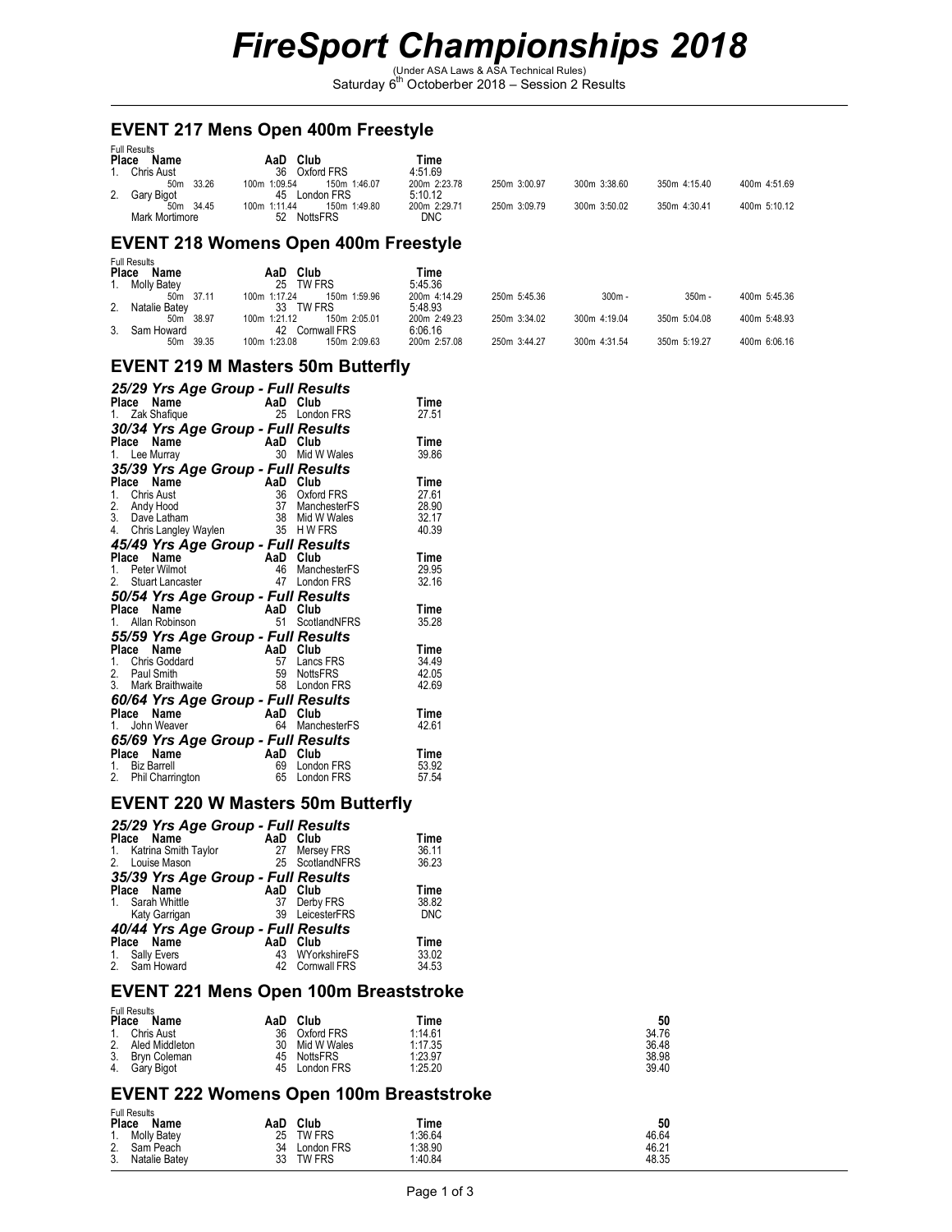# *FireSport Championships 2018*<br>
Saturday 6<sup>th</sup> Octoberber 2018 – Session 2 Results

#### **EVENT 217 Mens Open 400m Freestyle**

| <b>Full Results</b><br>Place<br>Name | Club<br>AaD                  | Time         |              |              |              |              |
|--------------------------------------|------------------------------|--------------|--------------|--------------|--------------|--------------|
| 1. Chris Aust                        | 36<br>Oxford FRS             | 4:51.69      |              |              |              |              |
| 50m 33.26                            | 150m 1:46.07<br>100m 1:09.54 | 200m 2:23.78 | 250m 3:00.97 | 300m 3:38.60 | 350m 4:15.40 | 400m 4:51.69 |
| 2. Gary Bigot                        | London FRS<br>45             | 5:10.12      |              |              |              |              |
| 50m 34.45                            | 150m 1:49.80<br>100m 1:11.44 | 200m 2:29.71 | 250m 3:09.79 | 300m 3:50.02 | 350m 4:30.41 | 400m 5:10.12 |
| Mark Mortimore                       | <b>NottsFRS</b><br>52        | <b>DNC</b>   |              |              |              |              |

### **EVENT 218 Womens Open 400m Freestyle**

| Place          | <b>Full Results</b><br>Name |              | AaD | Club         | Time         |              |              |              |              |
|----------------|-----------------------------|--------------|-----|--------------|--------------|--------------|--------------|--------------|--------------|
|                | 1. Molly Batey              |              | 25  | TW FRS       | 5:45.36      |              |              |              |              |
|                | 37.11<br>50m                | 100m 1:17.24 |     | 150m 1:59.96 | 200m 4:14.29 | 250m 5:45.36 | $300m -$     | $350m -$     | 400m 5:45.36 |
| 2.             | Natalie Batev               |              | 33  | TW FRS       | 5:48.93      |              |              |              |              |
|                | 50m 38.97                   | 100m 1:21.12 |     | 150m 2:05.01 | 200m 2:49.23 | 250m 3:34.02 | 300m 4:19.04 | 350m 5:04.08 | 400m 5:48.93 |
| 3 <sub>1</sub> | Sam Howard                  |              | 42  | Cornwall FRS | 6:06.16      |              |              |              |              |
|                | 39.35<br>50m                | 100m 1:23.08 |     | 150m 2:09.63 | 200m 2:57.08 | 250m 3:44.27 | 300m 4:31.54 | 350m 5:19.27 | 400m 6:06.16 |

#### **EVENT 219 M Masters 50m Butterfly**

| 25/29 Yrs Age Group - Full Results |          |                 |       |
|------------------------------------|----------|-----------------|-------|
| Name<br>Place                      | AaD      | Club            | Time  |
| 1. Zak Shafique                    | 25       | London FRS      | 27.51 |
| 30/34 Yrs Age Group - Full Results |          |                 |       |
| Name<br>Place                      | AaD Club |                 | Time  |
| 1. Lee Murray                      | 30       | Mid W Wales     | 39.86 |
| 35/39 Yrs Age Group - Full Results |          |                 |       |
| Place<br>Name                      | AaD      | Club            | Time  |
| Chris Aust<br>1.                   | 36       | Oxford FRS      | 27.61 |
| 2. Andy Hood<br>3. Dave Latham     | 37       | ManchesterFS    | 28.90 |
|                                    | 38       | Mid W Wales     | 32.17 |
| Chris Langley Waylen<br>4.         | 35 HWFRS |                 | 40.39 |
| 45/49 Yrs Age Group - Full Results |          |                 |       |
| Place<br>Name                      | AaD Club |                 | Time  |
| Peter Wilmot<br>$1_{-}$            | 46       | ManchesterFS    | 29.95 |
| 2.<br><b>Stuart Lancaster</b>      | 47       | London FRS      | 32.16 |
| 50/54 Yrs Age Group - Full Results |          |                 |       |
| Name<br>Place                      | AaD      | Club            | Time  |
| 1. Allan Robinson                  | 51       | ScotlandNFRS    | 35.28 |
| 55/59 Yrs Age Group - Full Results |          |                 |       |
| Place<br>Name                      | AaD      | Club            | Time  |
| 1. Chris Goddard                   | 57       | Lancs FRS       | 34.49 |
| 2. Paul Smith                      | 59       | <b>NottsFRS</b> | 42.05 |
| 3. Mark Braithwaite                | 58       | London FRS      | 42.69 |
| 60/64 Yrs Age Group - Full Results |          |                 |       |
| Place<br>Name                      | AaD      | Club            | Time  |
| John Weaver<br>1.                  | 64       | ManchesterFS    | 42.61 |
| 65/69 Yrs Age Group - Full Results |          |                 |       |
| Place<br>Name                      | AaD      | Club            | Time  |
| <b>Biz Barrell</b><br>1.           | 69       | London FRS      | 53.92 |
| 2.<br>Phil Charrington             | 65       | London FRS      | 57.54 |

#### **EVENT 220 W Masters 50m Butterfly**

| 25/29 Yrs Age Group - Full Results<br>Place Name<br>1. Katrina Smith Taylor<br>2. Louise Mason | 27       | AaD Club<br>Mersey FRS<br>25 ScotlandNFRS  | Time<br>36.11<br>36.23      |
|------------------------------------------------------------------------------------------------|----------|--------------------------------------------|-----------------------------|
| 35/39 Yrs Age Group - Full Results<br>Place Name<br>Sarah Whittle<br>1.<br>Katy Garrigan       | 37<br>39 | AaD Club<br>Derby FRS<br>LeicesterFRS      | Time<br>38.82<br><b>DNC</b> |
| 40/44 Yrs Age Group - Full Results<br>Place Name<br><b>Sally Evers</b><br>1.<br>2. Sam Howard  | AaD      | Club<br>43 WYorkshireFS<br>42 Cornwall FRS | Time<br>33.02<br>34.53      |

#### **EVENT 221 Mens Open 100m Breaststroke**

Full Results

|    | ו שוו ו שטובו<br>Place<br>Name | AaD | Club        | Time    | 50    |
|----|--------------------------------|-----|-------------|---------|-------|
| 1. | Chris Aust                     | 36  | Oxford FRS  | 1:14.61 | 34.76 |
| 2. | Aled Middleton                 | 30  | Mid W Wales | 1:17.35 | 36.48 |
| 3. | Brvn Coleman                   | 45  | NottsFRS    | 1:23.97 | 38.98 |
| 4. | Garv Bigot                     | 45  | London FRS  | 1:25.20 | 39.40 |

### **EVENT 222 Womens Open 100m Breaststroke**

| <b>Full Results</b><br>Place<br>Name | Club<br>AaD   | Time    | 50    |
|--------------------------------------|---------------|---------|-------|
| 1. Molly Batey                       | 25<br>TW FRS  | 1:36.64 | 46.64 |
| 2. Sam Peach                         | 34 London FRS | 1:38.90 | 46.21 |
| 3.<br>Natalie Batev                  | 33<br>TW FRS  | 1:40.84 | 48.35 |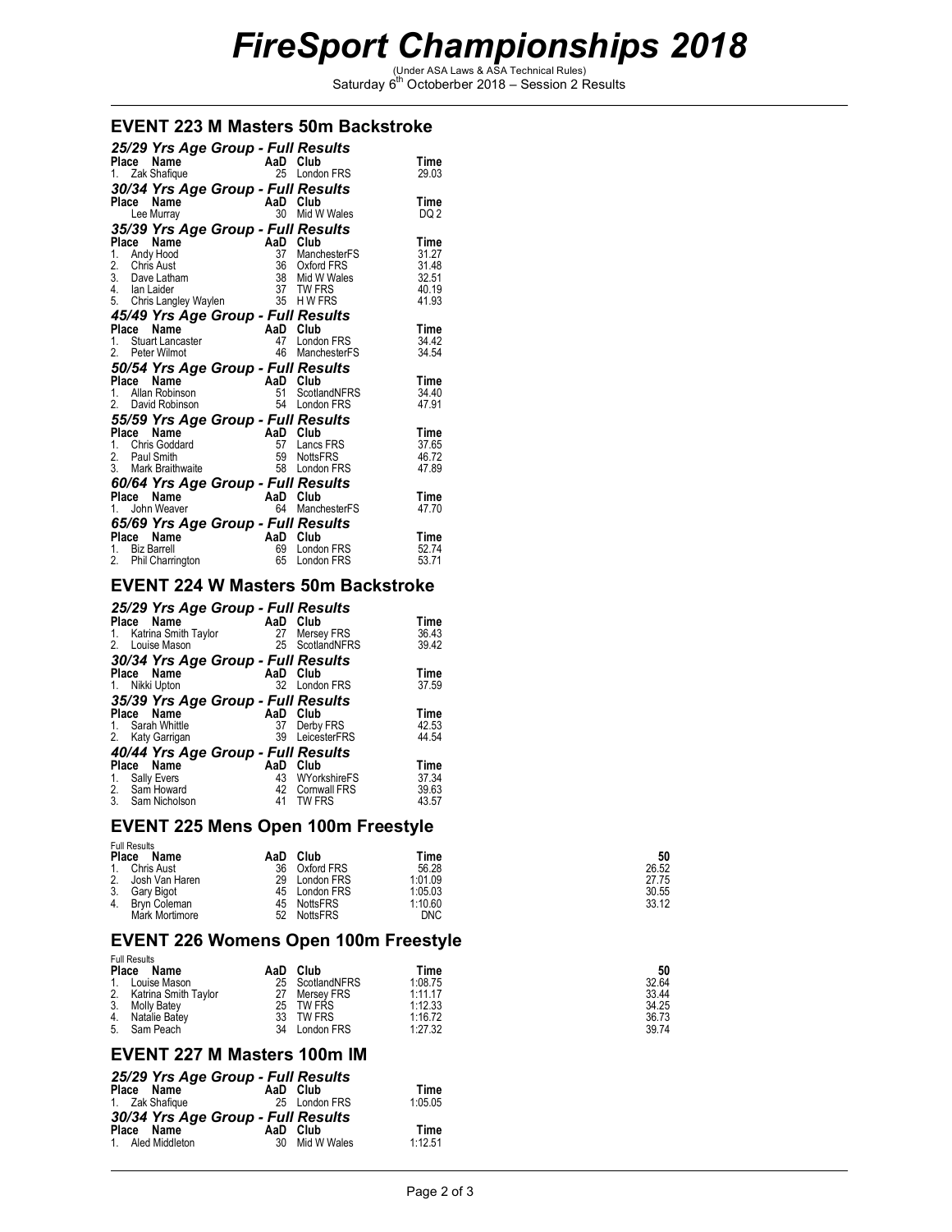# *FireSport Championships 2018*<br>
Saturday 6<sup>th</sup> Octoberber 2018 – Session 2 Results

#### **EVENT 223 M Masters 50m Backstroke**

| 25/29 Yrs Age Group - Full Results<br>Name<br>Place<br>1. Zak Shafique                                                | AaD<br>25             | Club<br>London FRS                                                        | Time<br>29.03                                     |
|-----------------------------------------------------------------------------------------------------------------------|-----------------------|---------------------------------------------------------------------------|---------------------------------------------------|
| 30/34 Yrs Age Group - Full Results                                                                                    |                       |                                                                           |                                                   |
| Place<br>Name<br>Lee Murray                                                                                           | AaD<br>30             | Club<br>Mid W Wales                                                       | Time<br>DQ 2                                      |
| 35/39 Yrs Age Group - Full Results                                                                                    |                       |                                                                           |                                                   |
| Name<br>Place<br>Andy Hood<br>1.<br>2.<br>Chris Aust<br>3. Dave Latham<br>4. Ian Laider<br>5. Chris Langley Waylen 35 | AaD<br>37<br>36<br>38 | Club<br>ManchesterFS<br>Oxford FRS<br>Mid W Wales<br>37 TW FRS<br>H W FRS | Time<br>31.27<br>31.48<br>32.51<br>40.19<br>41.93 |
| 45/49 Yrs Age Group - Full Results                                                                                    |                       |                                                                           |                                                   |
| Place<br>Name<br>Stuart Lancaster<br>1.<br>2.<br>Peter Wilmot                                                         | AaD<br>47<br>46       | Club<br>London FRS<br>ManchesterFS                                        | Time<br>34.42<br>34.54                            |
| 50/54 Yrs Age Group - Full Results                                                                                    |                       |                                                                           |                                                   |
| Place<br>Name<br>Allan Robinson<br>1.<br>2.<br>David Robinson                                                         | AaD<br>51<br>54       | Club<br>ScotlandNFRS<br>London FRS                                        | Time<br>34.40<br>47.91                            |
| 55/59 Yrs Age Group - Full Results                                                                                    |                       |                                                                           |                                                   |
| Place<br>Name<br>Chris Goddard<br>$1_{-}$<br>2. Paul Smith<br>3. Mark Braithwaite                                     | AaD<br>57<br>59<br>58 | Club<br>Lancs FRS<br><b>NottsFRS</b><br>London FRS                        | Time<br>37.65<br>46.72<br>47.89                   |
| 60/64 Yrs Age Group - Full Results                                                                                    | AaD                   | Club                                                                      |                                                   |
| Place<br>Name<br>John Weaver<br>1.<br>65/69 Yrs Age Group - Full Results                                              | 64                    | ManchesterFS                                                              | Time<br>47.70                                     |
| Place<br>Name                                                                                                         | AaD                   | Club                                                                      | Time                                              |
| <b>Biz Barrell</b><br>1.<br>2.<br>Phil Charrington                                                                    | 69<br>65              | London FRS<br>London FRS                                                  | 52.74<br>53.71                                    |

# **EVENT 224 W Masters 50m Backstroke**

|                            | 25/29 Yrs Age Group - Full Results |       |
|----------------------------|------------------------------------|-------|
| Place Name                 | Club<br>AaD                        | Time  |
| Katrina Smith Taylor<br>1. | 27<br>Mersey FRS                   | 36.43 |
| Louise Mason<br>2.         | ScotlandNFRS<br>25                 | 39.42 |
|                            | 30/34 Yrs Age Group - Full Results |       |
| Place Name                 | AaD Club                           | Time  |
| 1. Nikki Upton             | 32<br>London FRS                   | 37.59 |
|                            | 35/39 Yrs Age Group - Full Results |       |
| Name<br>Place              | AaD<br>Club                        | Time  |
| Sarah Whittle<br>1.        | 37<br>Derby FRS                    | 42.53 |
| 2. Katy Garrigan           | LeicesterFRS<br>39                 | 44.54 |
|                            | 40/44 Yrs Age Group - Full Results |       |
| Name<br>Place              | AaD<br>Club                        | Time  |
| Sally Evers<br>1.          | 43<br>WYorkshireFS                 | 37.34 |
| Sam Howard<br>2.<br>3.     | <b>Cornwall FRS</b><br>42          | 39.63 |
| Sam Nicholson              | 41<br><b>TW FRS</b>                | 43.57 |

# **EVENT 225 Mens Open 100m Freestyle**

|    | <b>Full Results</b> |     |                 |            |       |  |
|----|---------------------|-----|-----------------|------------|-------|--|
|    | Place<br>Name       | AaD | Club            | Time       | 50    |  |
| 1. | Chris Aust          | 36  | Oxford FRS      | 56.28      | 26.52 |  |
| 2. | Josh Van Haren      | 29  | London FRS      | 1:01.09    | 27.75 |  |
| 3. | Gary Bigot          | 45  | London FRS      | 1:05.03    | 30.55 |  |
| 4. | Brvn Coleman        | 45  | NottsFRS        | 1:10.60    | 33.12 |  |
|    | Mark Mortimore      | 52  | <b>NottsFRS</b> | <b>DNC</b> |       |  |

# **EVENT 226 Womens Open 100m Freestyle**

|    | <b>Full Results</b>  |     |               |         |       |  |
|----|----------------------|-----|---------------|---------|-------|--|
|    | Place<br>Name        | AaD | Club          | Time    | 50    |  |
| 1. | Louise Mason         | 25  | ScotlandNFRS  | 1:08.75 | 32.64 |  |
| 2. | Katrina Smith Taylor |     | Mersev FRS    | 1:11.17 | 33.44 |  |
| 3. | <b>Molly Batev</b>   | 25  | <b>TW FRS</b> | 1:12.33 | 34.25 |  |
| 4. | Natalie Batev        | 33  | TW FRS        | 1:16.72 | 36.73 |  |
| 5. | Sam Peach            | 34  | London FRS    | 1:27.32 | 39.74 |  |

#### **EVENT 227 M Masters 100m IM**

|            |                   | 25/29 Yrs Age Group - Full Results |                |         |
|------------|-------------------|------------------------------------|----------------|---------|
| Place Name |                   |                                    | AaD Club       | Time    |
|            | 1. Zak Shafique   |                                    | 25 London FRS  | 1:05.05 |
|            |                   | 30/34 Yrs Age Group - Full Results |                |         |
| Place Name |                   |                                    | AaD Club       | Time    |
|            | 1. Aled Middleton |                                    | 30 Mid W Wales | 1.1251  |